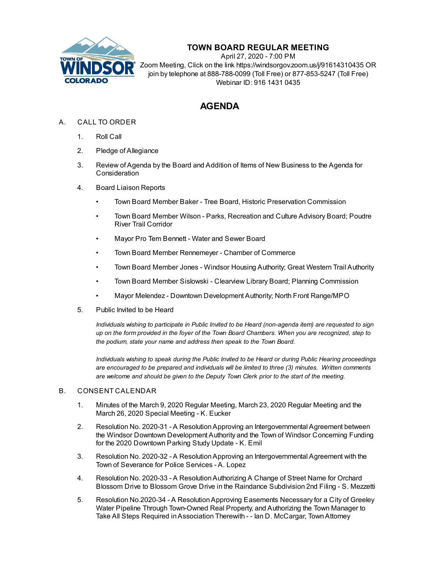

# **TOWN BOARD REGULAR MEETING**

April 27, 2020 - 7:00 PM Zoom Meeting, Click on the link https://windsorgov.zoom.us/j/91614310435 OR join by telephone at 888-788-0099 (Toll Free) or 877-853-5247 (Toll Free) Webinar ID: 916 1431 0435

# **AGENDA**

## A. CALL TO ORDER

- 1. Roll Call
- 2. Pledge of Allegiance
- 3. Review of Agenda by the Board and Addition of Items of New Business to the Agenda for Consideration
- 4. Board Liaison Reports
	- Town Board Member Baker Tree Board, Historic Preservation Commission
	- Town Board Member Wilson Parks, Recreation and Culture Advisory Board; Poudre River Trail Corridor
	- Mayor Pro Tem Bennett Water and Sewer Board
	- Town Board Member Rennemeyer Chamber of Commerce
	- Town Board Member Jones Windsor Housing Authority; Great Western Trail Authority
	- Town Board Member Sislowski Clearview Library Board; Planning Commission
	- Mayor Melendez Downtown Development Authority; North Front Range/MPO
- 5. Public Invited to be Heard

*Individuals wishing to participate in Public Invited to be Heard (non-agenda item) are requested to sign* up on the form provided in the foyer of the Town Board Chambers. When you are recognized, step to *the podium, state your name and address then speak to the Town Board.*

*Individuals wishing to speak during the Public Invited to be Heard or during Public Hearing proceedings are encouraged to be prepared and individuals will be limited to three (3) minutes. Written comments are welcome and should be given to the Deputy Town Clerk prior to the start of the meeting.*

### B. CONSENT CALENDAR

- 1. Minutes of the March 9, 2020 Regular [Meeting,](file:///C:/Windows/TEMP/CoverSheet.aspx?ItemID=850&MeetingID=135) March 23, 2020 Regular Meeting and the March 26, 2020 Special Meeting - K. Eucker
- 2. Resolution No. 2020-31 A [ResolutionApproving](file:///C:/Windows/TEMP/CoverSheet.aspx?ItemID=839&MeetingID=135) an Intergovernmental Agreement between the Windsor Downtown Development Authority and the Town of Windsor Concerning Funding for the 2020 Downtown Parking Study Update - K. Emil
- 3. Resolution No. 2020-32 A [ResolutionApproving](file:///C:/Windows/TEMP/CoverSheet.aspx?ItemID=840&MeetingID=135) an Intergovernmental Agreement with the Town of Severance for Police Services - A. Lopez
- 4. Resolution No. 2020-33 A [ResolutionAuthorizing](file:///C:/Windows/TEMP/CoverSheet.aspx?ItemID=846&MeetingID=135) A Change of Street Name for Orchard Blossom Drive to Blossom Grove Drive in the Raindance Subdivision 2nd Filing - S. Mezzetti
- 5. Resolution No.2020-34 A Resolution Approving Easements Necessary for a City of Greeley Water Pipeline Through Town-Owned Real Property, and Authorizing the Town Manager to Take All Steps Required in Association Therewith - - Ian D. McCargar, Town Attorney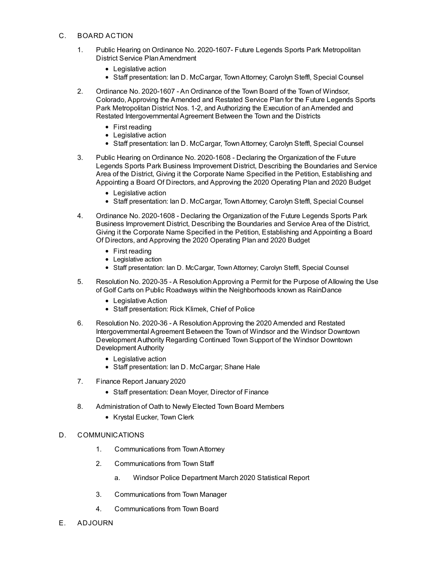#### C. BOARD ACTION

- 1. Public Hearing on Ordinance No. 2020-1607- Future Legends Sports Park Metropolitan District Service [PlanAmendment](file:///C:/Windows/TEMP/CoverSheet.aspx?ItemID=842&MeetingID=135)
	- Legislative action
	- Staff presentation: Ian D. McCargar, Town Attorney; Carolyn Steffl, Special Counsel
- 2. Ordinance No. 2020-1607 An Ordinance of the Town Board of the Town of Windsor, Colorado, Approving the Amended and Restated Service Plan for the Future Legends Sports Park Metropolitan District Nos. 1-2, and Authorizing the Execution of an Amended and Restated [Intergovernmental](file:///C:/Windows/TEMP/CoverSheet.aspx?ItemID=843&MeetingID=135) Agreement Between the Town and the Districts
	- First reading
	- Legislative action
	- Staff presentation: Ian D. McCargar, Town Attorney; Carolyn Steffl, Special Counsel
- 3. Public Hearing on Ordinance No. 2020-1608 Declaring the Organization of the Future Legends Sports Park Business [Improvement](file:///C:/Windows/TEMP/CoverSheet.aspx?ItemID=844&MeetingID=135) District, Describing the Boundaries and Service Area of the District, Giving it the Corporate Name Specified in the Petition, Establishing and Appointing a Board Of Directors, and Approving the 2020 Operating Plan and 2020 Budget
	- Legislative action
	- Staff presentation: Ian D. McCargar, Town Attorney; Carolyn Steffl, Special Counsel
- 4. Ordinance No. 2020-1608 Declaring the Organization of the Future Legends Sports Park Business [Improvement](file:///C:/Windows/TEMP/CoverSheet.aspx?ItemID=845&MeetingID=135) District, Describing the Boundaries and Service Area of the District, Giving it the Corporate Name Specified in the Petition, Establishing and Appointing a Board Of Directors, and Approving the 2020 Operating Plan and 2020 Budget
	- First reading
	- Legislative action
	- Staff presentation: Ian D. McCargar, Town Attorney; Carolyn Steffl, Special Counsel
- 5. Resolution No. 2020-35 A [ResolutionApproving](file:///C:/Windows/TEMP/CoverSheet.aspx?ItemID=847&MeetingID=135) a Permit for the Purpose of Allowing the Use of Golf Carts on Public Roadways within the Neighborhoods known as RainDance
	- Legislative Action
	- Staff presentation: Rick Klimek, Chief of Police
- 6. Resolution No. 2020-36 A [ResolutionApproving](file:///C:/Windows/TEMP/CoverSheet.aspx?ItemID=854&MeetingID=135) the 2020 Amended and Restated Intergovernmental Agreement Between the Town of Windsor and the Windsor Downtown Development Authority Regarding Continued Town Support of the Windsor Downtown Development Authority
	- Legislative action
	- Staff presentation: Ian D. McCargar; Shane Hale
- 7. [Finance](file:///C:/Windows/TEMP/CoverSheet.aspx?ItemID=848&MeetingID=135) Report January 2020
	- Staff presentation: Dean Moyer, Director of Finance
- 8. [Administration](file:///C:/Windows/TEMP/CoverSheet.aspx?ItemID=838&MeetingID=135) of Oath to Newly Elected Town Board Members
	- Krystal Eucker, Town Clerk

#### D. COMMUNICATIONS

- 1. Communications from TownAttorney
- 2. Communications from Town Staff
	- a. Windsor Police [Department](file:///C:/Windows/TEMP/CoverSheet.aspx?ItemID=837&MeetingID=135) March 2020 Statistical Report
- 3. Communications from Town Manager
- 4. Communications from Town Board
- E. ADJOURN